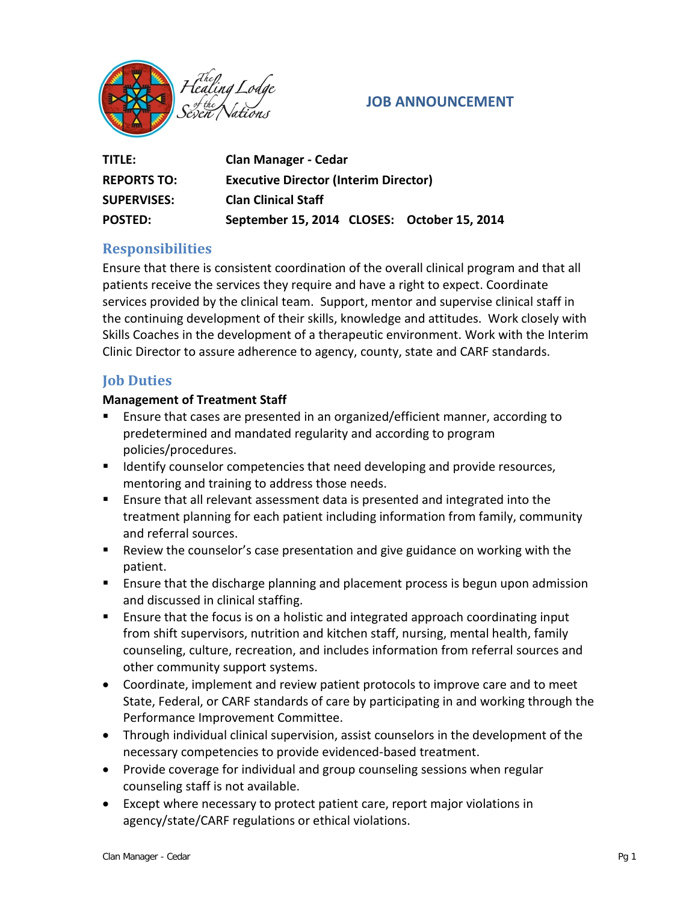

## **JOB ANNOUNCEMENT**

| TITLE:             | <b>Clan Manager - Cedar</b>                  |
|--------------------|----------------------------------------------|
| <b>REPORTS TO:</b> | <b>Executive Director (Interim Director)</b> |
| <b>SUPERVISES:</b> | <b>Clan Clinical Staff</b>                   |
| <b>POSTED:</b>     | September 15, 2014 CLOSES: October 15, 2014  |

# **Responsibilities**

Ensure that there is consistent coordination of the overall clinical program and that all patients receive the services they require and have a right to expect. Coordinate services provided by the clinical team. Support, mentor and supervise clinical staff in the continuing development of their skills, knowledge and attitudes. Work closely with Skills Coaches in the development of a therapeutic environment. Work with the Interim Clinic Director to assure adherence to agency, county, state and CARF standards.

## **Job Duties**

#### **Management of Treatment Staff**

- Ensure that cases are presented in an organized/efficient manner, according to predetermined and mandated regularity and according to program policies/procedures.
- **IDENTIFY COUNSELAT COMPT COMPT CONSTRANGED META** 1 dentity counselor computed and provide resources, mentoring and training to address those needs.
- Ensure that all relevant assessment data is presented and integrated into the treatment planning for each patient including information from family, community and referral sources.
- Review the counselor's case presentation and give guidance on working with the patient.
- **E** Ensure that the discharge planning and placement process is begun upon admission and discussed in clinical staffing.
- Ensure that the focus is on a holistic and integrated approach coordinating input from shift supervisors, nutrition and kitchen staff, nursing, mental health, family counseling, culture, recreation, and includes information from referral sources and other community support systems.
- Coordinate, implement and review patient protocols to improve care and to meet State, Federal, or CARF standards of care by participating in and working through the Performance Improvement Committee.
- Through individual clinical supervision, assist counselors in the development of the necessary competencies to provide evidenced-based treatment.
- Provide coverage for individual and group counseling sessions when regular counseling staff is not available.
- Except where necessary to protect patient care, report major violations in agency/state/CARF regulations or ethical violations.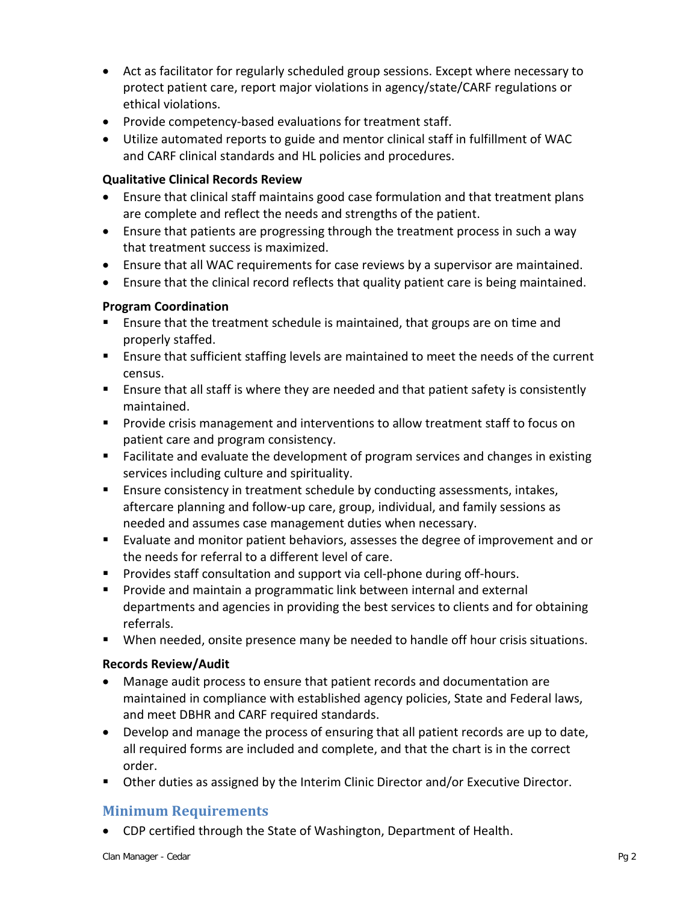- Act as facilitator for regularly scheduled group sessions. Except where necessary to protect patient care, report major violations in agency/state/CARF regulations or ethical violations.
- Provide competency-based evaluations for treatment staff.
- Utilize automated reports to guide and mentor clinical staff in fulfillment of WAC and CARF clinical standards and HL policies and procedures.

### **Qualitative Clinical Records Review**

- Ensure that clinical staff maintains good case formulation and that treatment plans are complete and reflect the needs and strengths of the patient.
- Ensure that patients are progressing through the treatment process in such a way that treatment success is maximized.
- Ensure that all WAC requirements for case reviews by a supervisor are maintained.
- Ensure that the clinical record reflects that quality patient care is being maintained.

### **Program Coordination**

- **Ensure that the treatment schedule is maintained, that groups are on time and** properly staffed.
- **Ensure that sufficient staffing levels are maintained to meet the needs of the current** census.
- Ensure that all staff is where they are needed and that patient safety is consistently maintained.
- **Provide crisis management and interventions to allow treatment staff to focus on** patient care and program consistency.
- **Facilitate and evaluate the development of program services and changes in existing** services including culture and spirituality.
- Ensure consistency in treatment schedule by conducting assessments, intakes, aftercare planning and follow-up care, group, individual, and family sessions as needed and assumes case management duties when necessary.
- Evaluate and monitor patient behaviors, assesses the degree of improvement and or the needs for referral to a different level of care.
- **Provides staff consultation and support via cell-phone during off-hours.**
- **Provide and maintain a programmatic link between internal and external** departments and agencies in providing the best services to clients and for obtaining referrals.
- When needed, onsite presence many be needed to handle off hour crisis situations.

### **Records Review/Audit**

- Manage audit process to ensure that patient records and documentation are maintained in compliance with established agency policies, State and Federal laws, and meet DBHR and CARF required standards.
- Develop and manage the process of ensuring that all patient records are up to date, all required forms are included and complete, and that the chart is in the correct order.
- Other duties as assigned by the Interim Clinic Director and/or Executive Director.

## **Minimum Requirements**

• CDP certified through the State of Washington, Department of Health.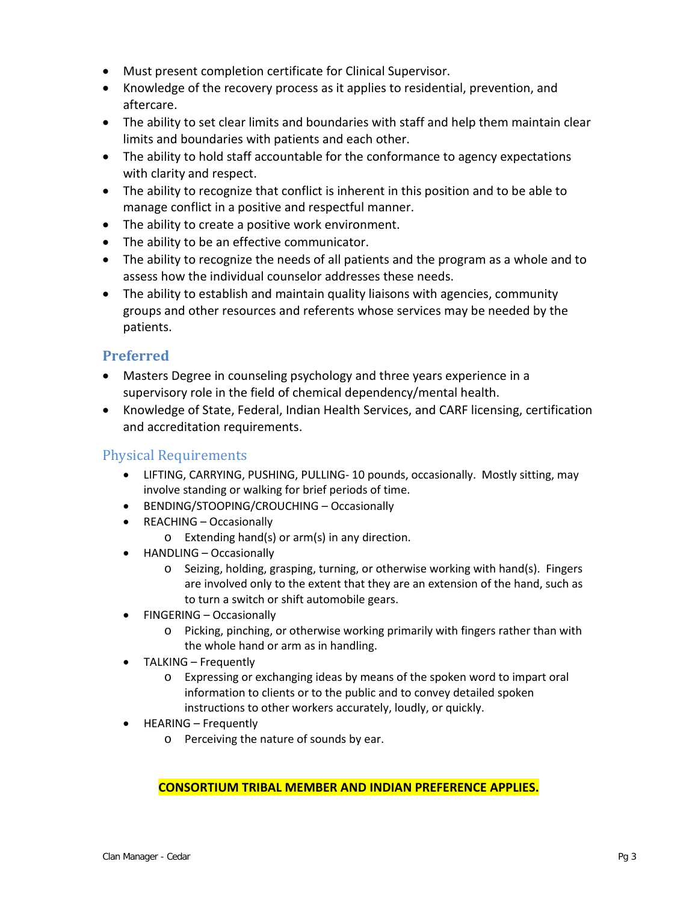- Must present completion certificate for Clinical Supervisor.
- Knowledge of the recovery process as it applies to residential, prevention, and aftercare.
- The ability to set clear limits and boundaries with staff and help them maintain clear limits and boundaries with patients and each other.
- The ability to hold staff accountable for the conformance to agency expectations with clarity and respect.
- The ability to recognize that conflict is inherent in this position and to be able to manage conflict in a positive and respectful manner.
- The ability to create a positive work environment.
- The ability to be an effective communicator.
- The ability to recognize the needs of all patients and the program as a whole and to assess how the individual counselor addresses these needs.
- The ability to establish and maintain quality liaisons with agencies, community groups and other resources and referents whose services may be needed by the patients.

# **Preferred**

- Masters Degree in counseling psychology and three years experience in a supervisory role in the field of chemical dependency/mental health.
- Knowledge of State, Federal, Indian Health Services, and CARF licensing, certification and accreditation requirements.

## Physical Requirements

- LIFTING, CARRYING, PUSHING, PULLING- 10 pounds, occasionally. Mostly sitting, may involve standing or walking for brief periods of time.
- BENDING/STOOPING/CROUCHING Occasionally
- REACHING Occasionally
	- o Extending hand(s) or arm(s) in any direction.
- HANDLING Occasionally
	- o Seizing, holding, grasping, turning, or otherwise working with hand(s). Fingers are involved only to the extent that they are an extension of the hand, such as to turn a switch or shift automobile gears.
- FINGERING Occasionally
	- o Picking, pinching, or otherwise working primarily with fingers rather than with the whole hand or arm as in handling.
- TALKING Frequently
	- o Expressing or exchanging ideas by means of the spoken word to impart oral information to clients or to the public and to convey detailed spoken instructions to other workers accurately, loudly, or quickly.
- HEARING Frequently
	- o Perceiving the nature of sounds by ear.

**CONSORTIUM TRIBAL MEMBER AND INDIAN PREFERENCE APPLIES.**